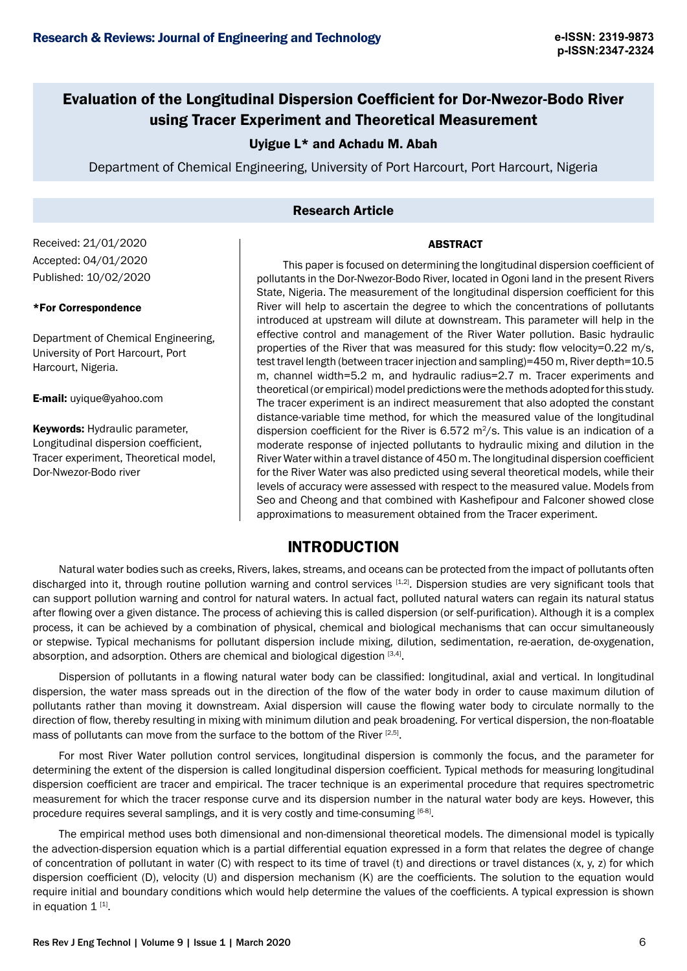# Evaluation of the Longitudinal Dispersion Coefficient for Dor-Nwezor-Bodo River using Tracer Experiment and Theoretical Measurement

## Uyigue L\* and Achadu M. Abah

Department of Chemical Engineering, University of Port Harcourt, Port Harcourt, Nigeria

## Research Article

#### **ABSTRACT**

Received: 21/01/2020 Accepted: 04/01/2020 Published: 10/02/2020

#### \*For Correspondence

Department of Chemical Engineering, University of Port Harcourt, Port Harcourt, Nigeria.

E-mail: uyique@yahoo.com

Keywords: Hydraulic parameter, Longitudinal dispersion coefficient, Tracer experiment, Theoretical model, Dor-Nwezor-Bodo river

This paper is focused on determining the longitudinal dispersion coefficient of pollutants in the Dor-Nwezor-Bodo River, located in Ogoni land in the present Rivers State, Nigeria. The measurement of the longitudinal dispersion coefficient for this River will help to ascertain the degree to which the concentrations of pollutants introduced at upstream will dilute at downstream. This parameter will help in the effective control and management of the River Water pollution. Basic hydraulic properties of the River that was measured for this study: flow velocity=0.22 m/s, test travel length (between tracer injection and sampling)=450 m, River depth=10.5 m, channel width=5.2 m, and hydraulic radius=2.7 m. Tracer experiments and theoretical (or empirical) model predictions were the methods adopted for this study. The tracer experiment is an indirect measurement that also adopted the constant distance-variable time method, for which the measured value of the longitudinal dispersion coefficient for the River is  $6.572$  m<sup>2</sup>/s. This value is an indication of a moderate response of injected pollutants to hydraulic mixing and dilution in the River Water within a travel distance of 450 m. The longitudinal dispersion coefficient for the River Water was also predicted using several theoretical models, while their levels of accuracy were assessed with respect to the measured value. Models from Seo and Cheong and that combined with Kashefipour and Falconer showed close approximations to measurement obtained from the Tracer experiment.

## **INTRODUCTION**

Natural water bodies such as creeks, Rivers, lakes, streams, and oceans can be protected from the impact of pollutants often discharged into it, through routine pollution warning and control services [1,2]. Dispersion studies are very significant tools that can support pollution warning and control for natural waters. In actual fact, polluted natural waters can regain its natural status after flowing over a given distance. The process of achieving this is called dispersion (or self-purification). Although it is a complex process, it can be achieved by a combination of physical, chemical and biological mechanisms that can occur simultaneously or stepwise. Typical mechanisms for pollutant dispersion include mixing, dilution, sedimentation, re-aeration, de-oxygenation, absorption, and adsorption. Others are chemical and biological digestion [3,4].

Dispersion of pollutants in a flowing natural water body can be classified: longitudinal, axial and vertical. In longitudinal dispersion, the water mass spreads out in the direction of the flow of the water body in order to cause maximum dilution of pollutants rather than moving it downstream. Axial dispersion will cause the flowing water body to circulate normally to the direction of flow, thereby resulting in mixing with minimum dilution and peak broadening. For vertical dispersion, the non-floatable mass of pollutants can move from the surface to the bottom of the River [2,5].

For most River Water pollution control services, longitudinal dispersion is commonly the focus, and the parameter for determining the extent of the dispersion is called longitudinal dispersion coefficient. Typical methods for measuring longitudinal dispersion coefficient are tracer and empirical. The tracer technique is an experimental procedure that requires spectrometric measurement for which the tracer response curve and its dispersion number in the natural water body are keys. However, this procedure requires several samplings, and it is very costly and time-consuming [6-8].

The empirical method uses both dimensional and non-dimensional theoretical models. The dimensional model is typically the advection-dispersion equation which is a partial differential equation expressed in a form that relates the degree of change of concentration of pollutant in water (C) with respect to its time of travel (t) and directions or travel distances (x, y, z) for which dispersion coefficient (D), velocity (U) and dispersion mechanism (K) are the coefficients. The solution to the equation would require initial and boundary conditions which would help determine the values of the coefficients. A typical expression is shown in equation  $1^{[1]}$ .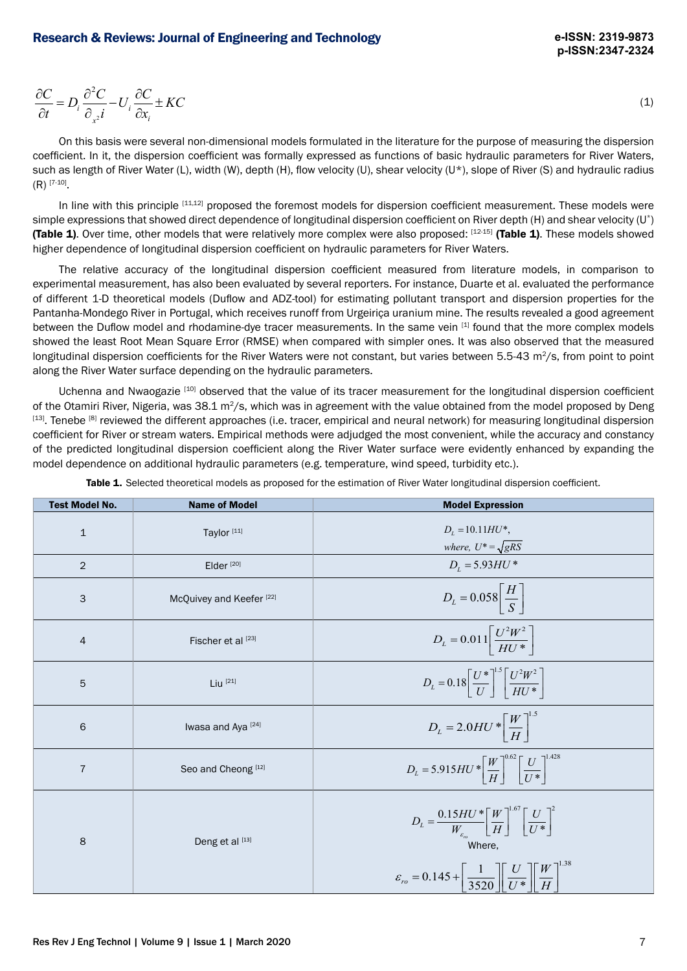$$
\frac{\partial C}{\partial t} = D_i \frac{\partial^2 C}{\partial_{x^2} i} - U_i \frac{\partial C}{\partial x_i} \pm KC
$$
\n(1)

On this basis were several non-dimensional models formulated in the literature for the purpose of measuring the dispersion coefficient. In it, the dispersion coefficient was formally expressed as functions of basic hydraulic parameters for River Waters, such as length of River Water (L), width (W), depth (H), flow velocity (U), shear velocity (U\*), slope of River (S) and hydraulic radius  $(R)$ <sup>[7-10]</sup>.

In line with this principle [11,12] proposed the foremost models for dispersion coefficient measurement. These models were simple expressions that showed direct dependence of longitudinal dispersion coefficient on River depth (H) and shear velocity (U\*) (Table 1). Over time, other models that were relatively more complex were also proposed:  $[12-15]$  (Table 1). These models showed higher dependence of longitudinal dispersion coefficient on hydraulic parameters for River Waters.

The relative accuracy of the longitudinal dispersion coefficient measured from literature models, in comparison to experimental measurement, has also been evaluated by several reporters. For instance, Duarte et al. evaluated the performance of different 1-D theoretical models (Duflow and ADZ-tool) for estimating pollutant transport and dispersion properties for the Pantanha-Mondego River in Portugal, which receives runoff from Urgeiriça uranium mine. The results revealed a good agreement between the Duflow model and rhodamine-dye tracer measurements. In the same vein [1] found that the more complex models showed the least Root Mean Square Error (RMSE) when compared with simpler ones. It was also observed that the measured longitudinal dispersion coefficients for the River Waters were not constant, but varies between  $5.5-43$  m<sup>2</sup>/s, from point to point along the River Water surface depending on the hydraulic parameters.

Uchenna and Nwaogazie [10] observed that the value of its tracer measurement for the longitudinal dispersion coefficient of the Otamiri River, Nigeria, was 38.1 m<sup>2</sup>/s, which was in agreement with the value obtained from the model proposed by Deng  $^{[13]}$ . Tenebe  $^{[8]}$  reviewed the different approaches (i.e. tracer, empirical and neural network) for measuring longitudinal dispersion coefficient for River or stream waters. Empirical methods were adjudged the most convenient, while the accuracy and constancy of the predicted longitudinal dispersion coefficient along the River Water surface were evidently enhanced by expanding the model dependence on additional hydraulic parameters (e.g. temperature, wind speed, turbidity etc.).  $38.1 \text{ m}^2/\text{s}$ , which was in agreement with the value obtained from the relative value of the state. The value obtained from the relative relative relative relative relative relative relative relative result at the spe

| <b>Test Model No.</b> | <b>Name of Model</b>                | <b>Model Expression</b>                                                                                                                                                                                                                             |
|-----------------------|-------------------------------------|-----------------------------------------------------------------------------------------------------------------------------------------------------------------------------------------------------------------------------------------------------|
| $1\,$                 | Taylor <sup>[11]</sup>              | $D_t = 10.11 H U^*$ ,<br>where, $U^* = \sqrt{gRS}$                                                                                                                                                                                                  |
| $\overline{2}$        | Elder $[20]$                        | $D_1 = 5.93 H U^*$                                                                                                                                                                                                                                  |
| $\mathsf{3}$          | McQuivey and Keefer <sup>[22]</sup> | $D_L = 0.058 \frac{H}{S}$                                                                                                                                                                                                                           |
| $\overline{4}$        | Fischer et al [23]                  | $D_L = 0.011 \left  \frac{U^2 W^2}{H U^*} \right $                                                                                                                                                                                                  |
| $\sqrt{5}$            | Liu $[21]$                          | $D_L = 0.18 \left[ \frac{U^*}{U} \right]^{1.5} \left  \frac{U^2 W^2}{H U^*} \right $                                                                                                                                                                |
| $\,6\,$               | Iwasa and Aya <sup>[24]</sup>       | $D_L = 2.0 H U * \left[ \frac{W}{H} \right]^{1.5}$                                                                                                                                                                                                  |
| $\overline{7}$        | Seo and Cheong <sup>[12]</sup>      | $D_L = 5.915 H U \sqrt[*]{\frac{W}{H}}^{0.62} \left[\frac{U}{U \sqrt[*]{\frac{1}{2}}} \right]^{1.428}$                                                                                                                                              |
| $\,8\,$               | Deng et al [13]                     | $D_L = \frac{0.15 H U^*}{W_{\varepsilon_m}} \left[ \frac{W}{H} \right]^{1.0} \left[ \frac{U}{U^*} \right]^2$<br>Where,<br>$\varepsilon_{ro} = 0.145 + \frac{1}{3520} \left  \left[ \frac{U}{U^*} \right] \left[ \frac{W}{H} \right] \right ^{1.38}$ |

Table 1. Selected theoretical models as proposed for the estimation of River Water longitudinal dispersion coefficient.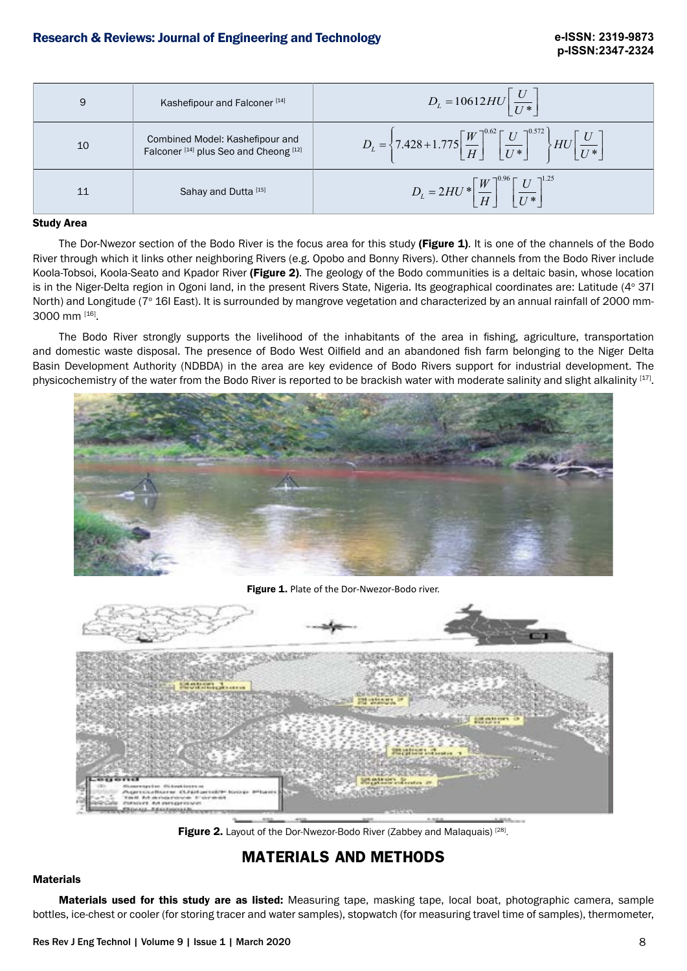| 9  | Kashefipour and Falconer <sup>[14]</sup>                                                        | $D_L = 10612 H U \frac{U}{U*}$                                                                                                                 |
|----|-------------------------------------------------------------------------------------------------|------------------------------------------------------------------------------------------------------------------------------------------------|
| 10 | Combined Model: Kashefipour and<br>Falconer <sup>[14]</sup> plus Seo and Cheong <sup>[12]</sup> | $D_L = \left\{ 7.428 + 1.775 \left[ \frac{W}{H} \right]^{0.62} \left[ \frac{U}{U^*} \right]^{0.572} \right\} H U \left[ \frac{U}{U^*} \right]$ |
| 11 | Sahay and Dutta [15]                                                                            | $D_L = 2HU * \left[\frac{W}{H}\right]^{0.96} \left[\frac{U}{U*}\right]^{1.25}$                                                                 |

#### Study Area

The Dor-Nwezor section of the Bodo River is the focus area for this study (Figure 1). It is one of the channels of the Bodo River through which it links other neighboring Rivers (e.g. Opobo and Bonny Rivers). Other channels from the Bodo River include Koola-Tobsoi, Koola-Seato and Kpador River (Figure 2). The geology of the Bodo communities is a deltaic basin, whose location is in the Niger-Delta region in Ogoni land, in the present Rivers State, Nigeria. Its geographical coordinates are: Latitude (4° 371 North) and Longitude (7° 16I East). It is surrounded by mangrove vegetation and characterized by an annual rainfall of 2000 mm-3000 mm [16].

The Bodo River strongly supports the livelihood of the inhabitants of the area in fishing, agriculture, transportation and domestic waste disposal. The presence of Bodo West Oilfield and an abandoned fish farm belonging to the Niger Delta Basin Development Authority (NDBDA) in the area are key evidence of Bodo Rivers support for industrial development. The physicochemistry of the water from the Bodo River is reported to be brackish water with moderate salinity and slight alkalinity [17].



Figure 1. Plate of the Dor-Nwezor-Bodo river.



Figure 2. Layout of the Dor-Nwezor-Bodo River (Zabbey and Malaquais)<sup>[28]</sup>.

# **MATERIALS AND METHODS**

#### **Materials**

Materials used for this study are as listed: Measuring tape, masking tape, local boat, photographic camera, sample bottles, ice-chest or cooler (for storing tracer and water samples), stopwatch (for measuring travel time of samples), thermometer,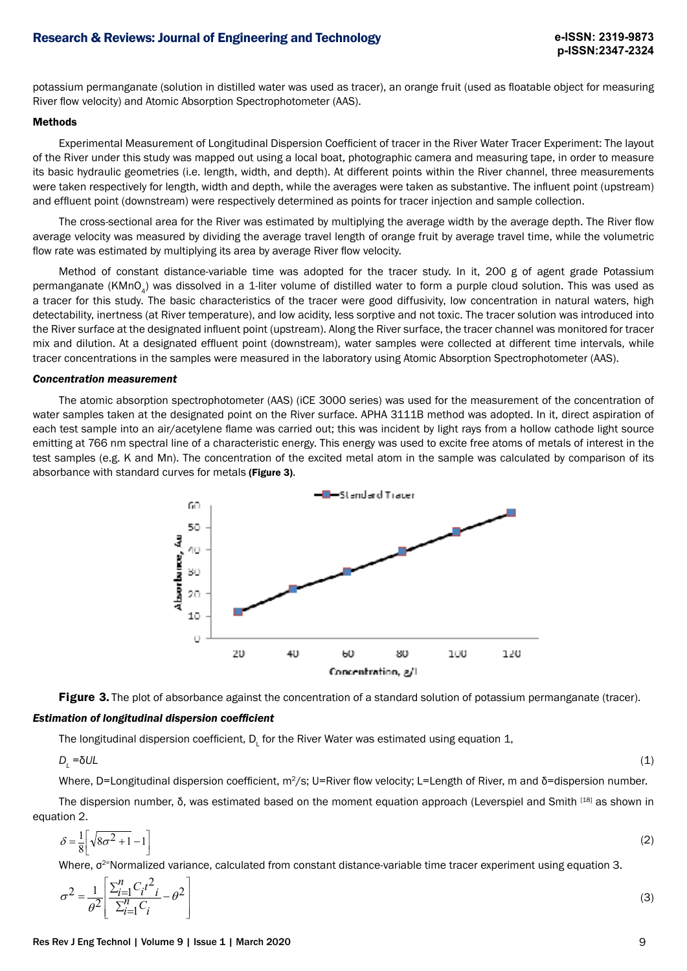potassium permanganate (solution in distilled water was used as tracer), an orange fruit (used as floatable object for measuring River flow velocity) and Atomic Absorption Spectrophotometer (AAS).

#### Methods

Experimental Measurement of Longitudinal Dispersion Coefficient of tracer in the River Water Tracer Experiment: The layout of the River under this study was mapped out using a local boat, photographic camera and measuring tape, in order to measure its basic hydraulic geometries (i.e. length, width, and depth). At different points within the River channel, three measurements were taken respectively for length, width and depth, while the averages were taken as substantive. The influent point (upstream) and effluent point (downstream) were respectively determined as points for tracer injection and sample collection.

The cross-sectional area for the River was estimated by multiplying the average width by the average depth. The River flow average velocity was measured by dividing the average travel length of orange fruit by average travel time, while the volumetric flow rate was estimated by multiplying its area by average River flow velocity.

Method of constant distance-variable time was adopted for the tracer study. In it, 200 g of agent grade Potassium permanganate (KMnO<sub>4</sub>) was dissolved in a 1-liter volume of distilled water to form a purple cloud solution. This was used as a tracer for this study. The basic characteristics of the tracer were good diffusivity, low concentration in natural waters, high detectability, inertness (at River temperature), and low acidity, less sorptive and not toxic. The tracer solution was introduced into the River surface at the designated influent point (upstream). Along the River surface, the tracer channel was monitored for tracer mix and dilution. At a designated effluent point (downstream), water samples were collected at different time intervals, while tracer concentrations in the samples were measured in the laboratory using Atomic Absorption Spectrophotometer (AAS).

#### *Concentration measurement*

The atomic absorption spectrophotometer (AAS) (iCE 3000 series) was used for the measurement of the concentration of water samples taken at the designated point on the River surface. APHA 3111B method was adopted. In it, direct aspiration of each test sample into an air/acetylene flame was carried out; this was incident by light rays from a hollow cathode light source emitting at 766 nm spectral line of a characteristic energy. This energy was used to excite free atoms of metals of interest in the test samples (e.g. K and Mn). The concentration of the excited metal atom in the sample was calculated by comparison of its absorbance with standard curves for metals (Figure 3).



**Figure 3.** The plot of absorbance against the concentration of a standard solution of potassium permanganate (tracer).

#### *Estimation of longitudinal dispersion coefficient*

The longitudinal dispersion coefficient,  ${\mathsf D}_{\mathsf L}$  for the River Water was estimated using equation 1,

 $D_i = \delta U L$ =δ*UL* (1)

Where, D=Longitudinal dispersion coefficient, m<sup>2</sup>/s; U=River flow velocity; L=Length of River, m and δ=dispersion number.

The dispersion number, δ, was estimated based on the moment equation approach (Leverspiel and Smith [18] as shown in equation 2.

$$
\delta = \frac{1}{8} \left[ \sqrt{8\sigma^2 + 1} - 1 \right] \tag{2}
$$

Where, σ<sup>2</sup>=Normalized variance, calculated from constant distance-variable time tracer experiment using equation 3.

$$
\sigma^2 = \frac{1}{\theta^2} \left[ \frac{\sum_{i=1}^n C_i t^2}{\sum_{i=1}^n C_i} - \theta^2 \right]
$$
 (3)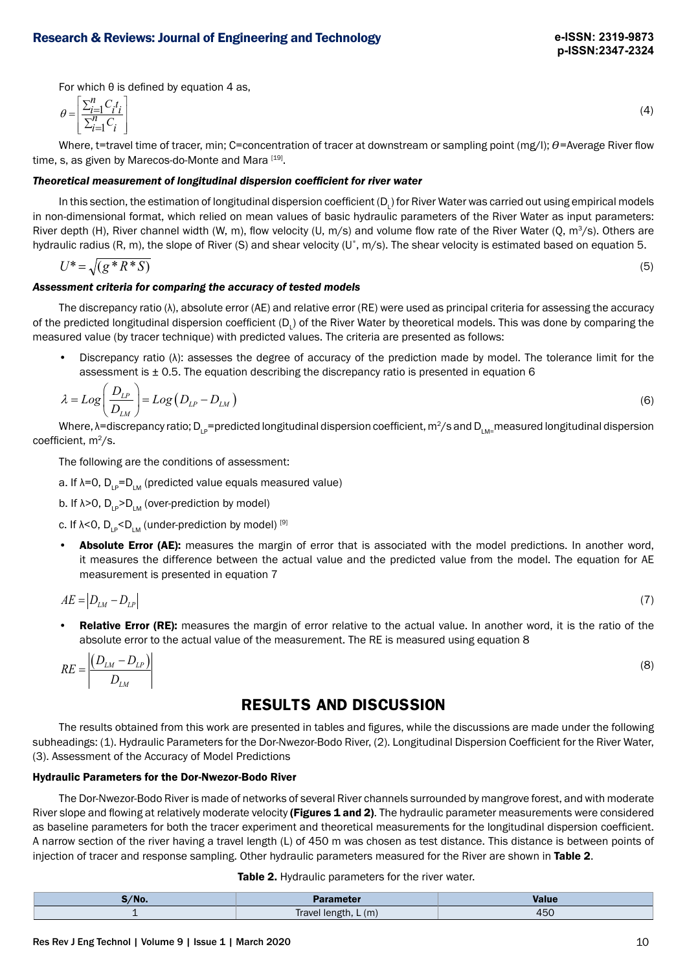For which  $θ$  is defined by equation  $4$  as,

$$
\theta = \left[ \frac{\sum_{i=1}^{n} C_i t_i}{\sum_{i=1}^{n} C_i} \right] \tag{4}
$$

Where, t=travel time of tracer, min; C=concentration of tracer at downstream or sampling point (mg/l);  $\theta$ =Average River flow time, s, as given by Marecos-do-Monte and Mara [19].

## *Theoretical measurement of longitudinal dispersion coefficient for river water*

In this section, the estimation of longitudinal dispersion coefficient (D<sub>L</sub>) for River Water was carried out using empirical models in non-dimensional format, which relied on mean values of basic hydraulic parameters of the River Water as input parameters: River depth (H), River channel width (W, m), flow velocity (U, m/s) and volume flow rate of the River Water (Q, m<sup>3</sup>/s). Others are hydraulic radius (R, m), the slope of River (S) and shear velocity (U\*, m/s). The shear velocity is estimated based on equation 5.

$$
U^* = \sqrt{(g^* R^* S)}\tag{5}
$$

## *Assessment criteria for comparing the accuracy of tested models*

The discrepancy ratio (λ), absolute error (AE) and relative error (RE) were used as principal criteria for assessing the accuracy of the predicted longitudinal dispersion coefficient (D<sub>L</sub>) of the River Water by theoretical models. This was done by comparing the measured value (by tracer technique) with predicted values. The criteria are presented as follows:

• Discrepancy ratio (λ): assesses the degree of accuracy of the prediction made by model. The tolerance limit for the assessment is  $\pm$  0.5. The equation describing the discrepancy ratio is presented in equation 6

$$
\lambda = Log\left(\frac{D_{LP}}{D_{LM}}\right) = Log\left(D_{LP} - D_{LM}\right)
$$
\n(6)

Where,  $\lambda$ =discrepancy ratio; D<sub>L</sub>=predicted longitudinal dispersion coefficient, m<sup>2</sup>/s and D<sub>LM</sub>=measured longitudinal dispersion coefficient,  $m^2/s$ .

The following are the conditions of assessment:

- a. If  $\lambda=0$ ,  $D_{\mu} = D_{\mu}$  (predicted value equals measured value)
- b. If  $\lambda > 0$ ,  $D_{\mu} > D_{\mu}$  (over-prediction by model)
- c. If  $\lambda$ <0, D<sub>LP</sub><D<sub>LM</sub> (under-prediction by model) [9]
- Absolute Error (AE): measures the margin of error that is associated with the model predictions. In another word, it measures the difference between the actual value and the predicted value from the model. The equation for AE measurement is presented in equation 7

$$
AE = |D_{LM} - D_{LP}| \tag{7}
$$

**Relative Error (RE):** measures the margin of error relative to the actual value. In another word, it is the ratio of the absolute error to the actual value of the measurement. The RE is measured using equation 8

$$
RE = \left| \frac{\left(D_{LM} - D_{LP}\right)}{D_{LM}} \right| \tag{8}
$$

# **RESULTS AND DISCUSSION**

The results obtained from this work are presented in tables and figures, while the discussions are made under the following subheadings: (1). Hydraulic Parameters for the Dor-Nwezor-Bodo River, (2). Longitudinal Dispersion Coefficient for the River Water, (3). Assessment of the Accuracy of Model Predictions

#### Hydraulic Parameters for the Dor-Nwezor-Bodo River

The Dor-Nwezor-Bodo River is made of networks of several River channels surrounded by mangrove forest, and with moderate River slope and flowing at relatively moderate velocity (Figures 1 and 2). The hydraulic parameter measurements were considered as baseline parameters for both the tracer experiment and theoretical measurements for the longitudinal dispersion coefficient. A narrow section of the river having a travel length (L) of 450 m was chosen as test distance. This distance is between points of injection of tracer and response sampling. Other hydraulic parameters measured for the River are shown in Table 2.

| M <sub>0</sub>           | eter                             |              |
|--------------------------|----------------------------------|--------------|
| $\overline{\phantom{0}}$ | <b>Travel it</b><br>(m)<br>,,,,, | TJ L<br>$ -$ |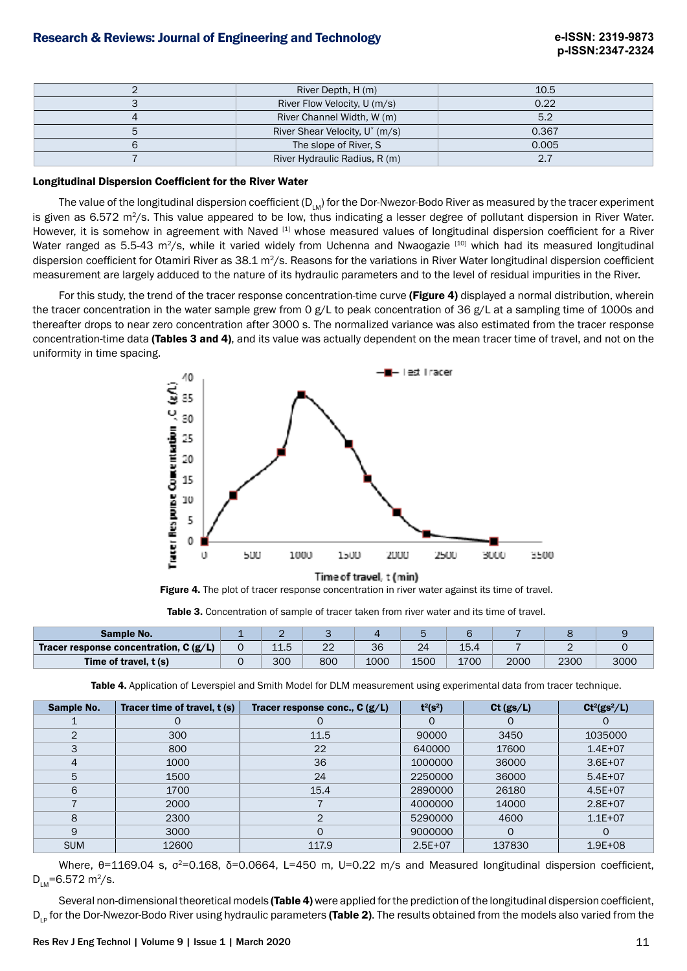| River Depth, H (m)                         | 10.5  |
|--------------------------------------------|-------|
| River Flow Velocity, U (m/s)               | 0.22  |
| River Channel Width, W (m)                 | 5.2   |
| River Shear Velocity, U <sup>*</sup> (m/s) | 0.367 |
| The slope of River, S                      | 0.005 |
| River Hydraulic Radius, R (m)              |       |

#### Longitudinal Dispersion Coefficient for the River Water

The value of the longitudinal dispersion coefficient  $(D_{LM})$  for the Dor-Nwezor-Bodo River as measured by the tracer experiment is given as 6.572 m<sup>2</sup>/s. This value appeared to be low, thus indicating a lesser degree of pollutant dispersion in River Water. However, it is somehow in agreement with Naved [1] whose measured values of longitudinal dispersion coefficient for a River Water ranged as 5.5-43 m<sup>2</sup>/s, while it varied widely from Uchenna and Nwaogazie [10] which had its measured longitudinal dispersion coefficient for Otamiri River as  $38.1 \text{ m}^2/\text{s}$ . Reasons for the variations in River Water longitudinal dispersion coefficient measurement are largely adduced to the nature of its hydraulic parameters and to the level of residual impurities in the River.

For this study, the trend of the tracer response concentration-time curve (Figure 4) displayed a normal distribution, wherein the tracer concentration in the water sample grew from 0 g/L to peak concentration of 36 g/L at a sampling time of 1000s and thereafter drops to near zero concentration after 3000 s. The normalized variance was also estimated from the tracer response concentration-time data (Tables 3 and 4), and its value was actually dependent on the mean tracer time of travel, and not on the uniformity in time spacing.



Figure 4. The plot of tracer response concentration in river water against its time of travel.

Table 3. Concentration of sample of tracer taken from river water and its time of travel.

| <b>Sample No.</b>                       |     |             |      |      |      |      |      |      |
|-----------------------------------------|-----|-------------|------|------|------|------|------|------|
| Tracer response concentration, $C(g/L)$ | ∸∸∽ | $\sim$<br>ے | 36   | 24   | 15.4 |      |      |      |
| Time of travel, t (s)                   | 300 | 800         | 1000 | 1500 | 1700 | 2000 | 2300 | 3000 |

Table 4. Application of Leverspiel and Smith Model for DLM measurement using experimental data from tracer technique.

| Sample No.    | Tracer time of travel, t (s) | Tracer response conc., $C(g/L)$ | $t^2(s^2)$ | Ct $(gs/L)$ | $Ct^2(gs^2/L)$ |
|---------------|------------------------------|---------------------------------|------------|-------------|----------------|
|               |                              | 0                               | 0          | 0           |                |
| $\mathcal{P}$ | 300                          | 11.5                            | 90000      | 3450        | 1035000        |
| 3             | 800                          | 22                              | 640000     | 17600       | $1.4E + 07$    |
| 4             | 1000                         | 36                              | 1000000    | 36000       | $3.6E + 07$    |
| 5             | 1500                         | 24                              | 2250000    | 36000       | $5.4E + 07$    |
| 6             | 1700                         | 15.4                            | 2890000    | 26180       | $4.5E+07$      |
|               | 2000                         |                                 | 4000000    | 14000       | $2.8E+07$      |
| 8             | 2300                         | 2                               | 5290000    | 4600        | $1.1E + 07$    |
| 9             | 3000                         | 0                               | 9000000    | 0           |                |
| <b>SUM</b>    | 12600                        | 117.9                           | $2.5E+07$  | 137830      | $1.9E + 08$    |

Where,  $θ=1169.04$  s,  $σ²=0.168$ ,  $δ=0.0664$ , L=450 m, U=0.22 m/s and Measured longitudinal dispersion coefficient,  $D_{\text{L}}$ =6.572 m<sup>2</sup>/s.

Several non-dimensional theoretical models (Table 4) were applied for the prediction of the longitudinal dispersion coefficient, D<sub>un</sub> for the Dor-Nwezor-Bodo River using hydraulic parameters (Table 2). The results obtained from the models also varied from the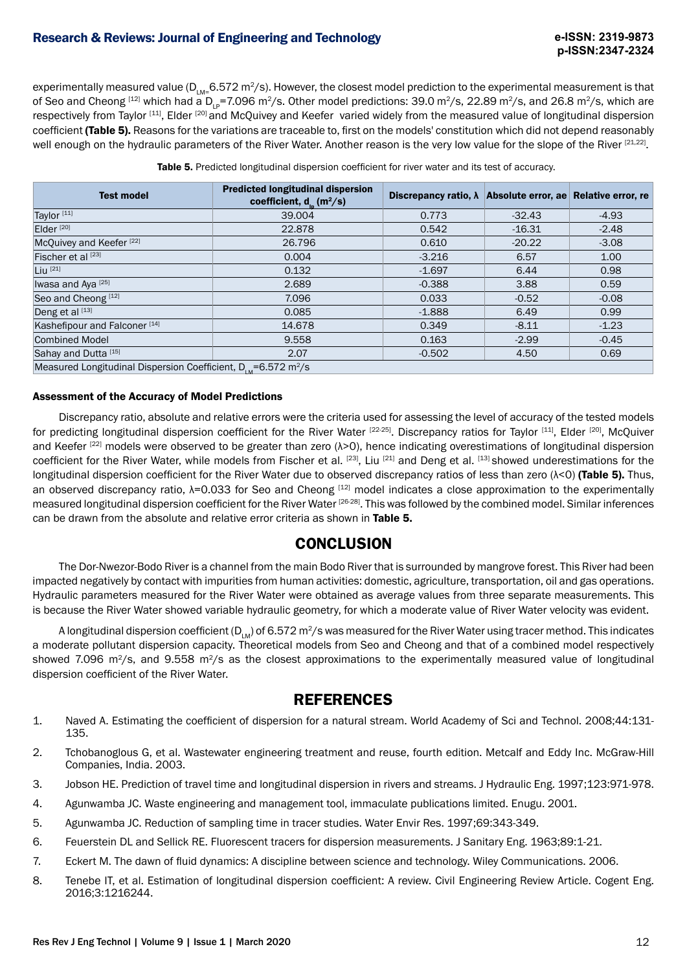## Research & Reviews: Journal of Engineering and Technology

experimentally measured value ( $D_{\text{LM}}=6.572 \text{ m}^2/\text{s}$ ). However, the closest model prediction to the experimental measurement is that of Seo and Cheong  $[12]$  which had a D<sub>LP</sub>=7.096 m<sup>2</sup>/s. Other model predictions: 39.0 m<sup>2</sup>/s, 22.89 m<sup>2</sup>/s, and 26.8 m<sup>2</sup>/s, which are respectively from Taylor [11], Elder [20] and McQuivey and Keefer varied widely from the measured value of longitudinal dispersion coefficient (Table 5). Reasons for the variations are traceable to, first on the models' constitution which did not depend reasonably well enough on the hydraulic parameters of the River Water. Another reason is the very low value for the slope of the River [21,22].

Table 5. Predicted longitudinal dispersion coefficient for river water and its test of accuracy.

| <b>Predicted longitudinal dispersion</b><br><b>Test model</b><br>coefficient, $d_n(m^2/s)$ |        | Discrepancy ratio, $\lambda$ | Absolute error, ae Relative error, re |         |  |  |  |
|--------------------------------------------------------------------------------------------|--------|------------------------------|---------------------------------------|---------|--|--|--|
| Taylor <sup>[11]</sup>                                                                     | 39,004 | 0.773                        | $-32.43$                              | $-4.93$ |  |  |  |
| Elder <sup>[20]</sup>                                                                      | 22,878 | 0.542                        | $-16.31$                              | $-2.48$ |  |  |  |
| McQuivey and Keefer <sup>[22]</sup>                                                        | 26,796 | 0.610                        | $-20.22$                              | $-3.08$ |  |  |  |
| Fischer et al [23]                                                                         | 0.004  | $-3.216$                     | 6.57                                  | 1.00    |  |  |  |
| $Liu$ <sup><math>[21]</math></sup>                                                         | 0.132  | $-1.697$                     | 6.44                                  | 0.98    |  |  |  |
| Iwasa and Aya <sup>[25]</sup>                                                              | 2.689  | $-0.388$                     | 3.88                                  | 0.59    |  |  |  |
| Seo and Cheong <sup>[12]</sup>                                                             | 7.096  | 0.033                        | $-0.52$                               | $-0.08$ |  |  |  |
| Deng et al [13]                                                                            | 0.085  | $-1.888$                     | 6.49                                  | 0.99    |  |  |  |
| Kashefipour and Falconer <sup>[14]</sup>                                                   | 14.678 | 0.349                        | $-8.11$                               | $-1.23$ |  |  |  |
| <b>Combined Model</b>                                                                      | 9.558  | 0.163                        | $-2.99$                               | $-0.45$ |  |  |  |
| Sahay and Dutta [15]                                                                       | 2.07   | $-0.502$                     | 4.50                                  | 0.69    |  |  |  |
| Measured Longitudinal Dispersion Coefficient, $D_{1M} = 6.572$ m <sup>2</sup> /s           |        |                              |                                       |         |  |  |  |

#### Assessment of the Accuracy of Model Predictions

Discrepancy ratio, absolute and relative errors were the criteria used for assessing the level of accuracy of the tested models for predicting longitudinal dispersion coefficient for the River Water [22-25]. Discrepancy ratios for Taylor [11], Elder [20], McQuiver and Keefer<sup>[22]</sup> models were observed to be greater than zero (λ>0), hence indicating overestimations of longitudinal dispersion coefficient for the River Water, while models from Fischer et al. [23], Liu [21] and Deng et al. [13] showed underestimations for the longitudinal dispersion coefficient for the River Water due to observed discrepancy ratios of less than zero  $(\lambda < 0)$  (Table 5). Thus, an observed discrepancy ratio, λ=0.033 for Seo and Cheong [12] model indicates a close approximation to the experimentally measured longitudinal dispersion coefficient for the River Water <sup>[26-28]</sup>. This was followed by the combined model. Similar inferences can be drawn from the absolute and relative error criteria as shown in Table 5.

## **CONCLUSION**

The Dor-Nwezor-Bodo River is a channel from the main Bodo River that is surrounded by mangrove forest. This River had been impacted negatively by contact with impurities from human activities: domestic, agriculture, transportation, oil and gas operations. Hydraulic parameters measured for the River Water were obtained as average values from three separate measurements. This is because the River Water showed variable hydraulic geometry, for which a moderate value of River Water velocity was evident.

A longitudinal dispersion coefficient ( $D_{\text{M}}$ ) of 6.572 m<sup>2</sup>/s was measured for the River Water using tracer method. This indicates a moderate pollutant dispersion capacity. Theoretical models from Seo and Cheong and that of a combined model respectively showed 7.096 m<sup>2</sup>/s, and 9.558 m<sup>2</sup>/s as the closest approximations to the experimentally measured value of longitudinal dispersion coefficient of the River Water.

## **REFERENCES**

- 1. Naved A. Estimating the coefficient of dispersion for a natural stream. World Academy of Sci and Technol. 2008;44:131- 135.
- 2. Tchobanoglous G, et al. Wastewater engineering treatment and reuse, fourth edition. Metcalf and Eddy Inc. McGraw-Hill Companies, India. 2003.
- 3. Jobson HE. Prediction of travel time and longitudinal dispersion in rivers and streams. J Hydraulic Eng. 1997;123:971-978.
- 4. Agunwamba JC. Waste engineering and management tool, immaculate publications limited. Enugu. 2001.
- 5. Agunwamba JC. Reduction of sampling time in tracer studies. Water Envir Res. 1997;69:343-349.
- 6. Feuerstein DL and Sellick RE. Fluorescent tracers for dispersion measurements. J Sanitary Eng. 1963;89:1-21.
- 7. Eckert M. The dawn of fluid dynamics: A discipline between science and technology. Wiley Communications. 2006.
- 8. Tenebe IT, et al. Estimation of longitudinal dispersion coefficient: A review. Civil Engineering Review Article. Cogent Eng. 2016;3:1216244.